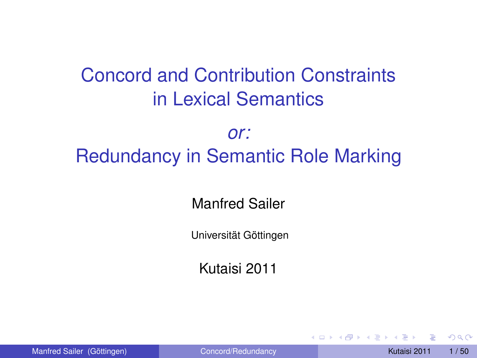## Concord and Contribution Constraints in Lexical Semantics

#### *or:* Redundancy in Semantic Role Marking

Manfred Sailer

Universität Göttingen

<span id="page-0-0"></span>Kutaisi 2011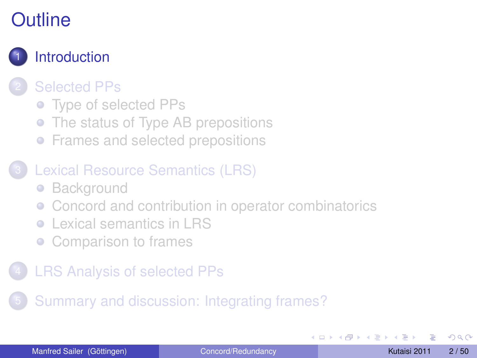

#### **[Selected PPs](#page-5-0)**

- [Type of selected PPs](#page-6-0)
- [The status of Type AB prepositions](#page-11-0)
- **•** [Frames and selected prepositions](#page-19-0)

#### [Lexical Resource Semantics \(LRS\)](#page-21-0)

- [Background](#page-22-0)
- [Concord and contribution in operator combinatorics](#page-26-0)
- [Lexical semantics in LRS](#page-32-0)  $\bullet$
- [Comparison to frames](#page-34-0)

#### **[LRS Analysis of selected PPs](#page-36-0)**

5 [Summary and discussion: Integrating frames?](#page-44-0)

<span id="page-1-0"></span>**B** K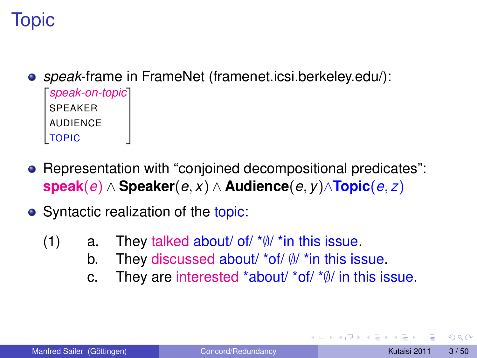## Topic

- *speak*-frame in FrameNet (framenet.icsi.berkeley.edu/): 2 *speak-on-topic* 3  $\overline{a}$  $\overline{a}$ 4 SPEAKER **AUDIFNCE** TOPIC  $\overline{1}$  $\mathbf{r}$  $\overline{1}$
- Representation with "conjoined decompositional predicates": **speak**(*e*) ∧ **Speaker**(*e*, *x*) ∧ **Audience**(*e*, *y*)∧**Topic**(*e*, *z*)
- Syntactic realization of the topic:
	- (1) a. They talked about/ of/  $*$  $\emptyset$ /  $*$  in this issue.
		- b. They discussed about/ \*of/ ∅/ \*in this issue.
		- c. They are interested \*about/ \*of/ \*∅/ in this issue.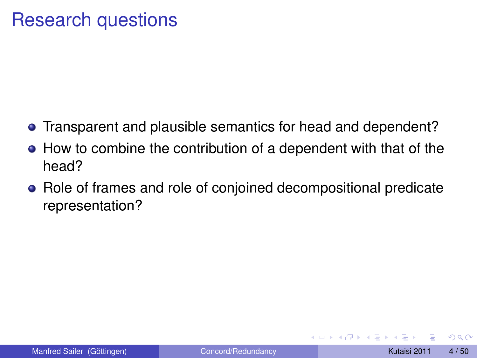#### Research questions

- **•** Transparent and plausible semantics for head and dependent?
- How to combine the contribution of a dependent with that of the head?
- Role of frames and role of conjoined decompositional predicate representation?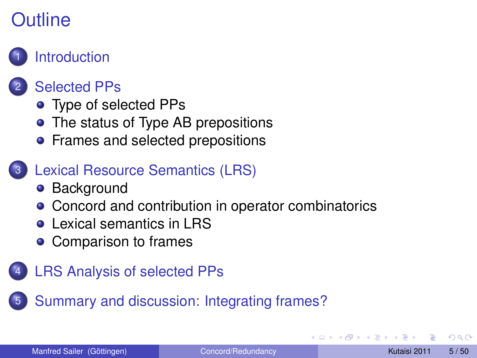

#### **[Selected PPs](#page-5-0)**

- [Type of selected PPs](#page-6-0)
- [The status of Type AB prepositions](#page-11-0)
- **•** [Frames and selected prepositions](#page-19-0)

#### [Lexical Resource Semantics \(LRS\)](#page-21-0)

- [Background](#page-22-0)
- [Concord and contribution in operator combinatorics](#page-26-0)
- **[Lexical semantics in LRS](#page-32-0)**
- [Comparison to frames](#page-34-0)
- [LRS Analysis of selected PPs](#page-36-0)

5 [Summary and discussion: Integrating frames?](#page-44-0)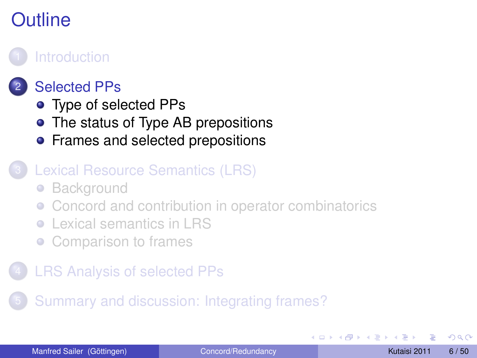#### **[Introduction](#page-1-0)**



#### **[Selected PPs](#page-5-0)**

- [Type of selected PPs](#page-6-0)
- [The status of Type AB prepositions](#page-11-0)
- **•** [Frames and selected prepositions](#page-19-0)

#### [Lexical Resource Semantics \(LRS\)](#page-21-0)

- **[Background](#page-22-0)**  $\bullet$
- [Concord and contribution in operator combinatorics](#page-26-0)
- [Lexical semantics in LRS](#page-32-0)
- <span id="page-5-0"></span>[Comparison to frames](#page-34-0)
- **[LRS Analysis of selected PPs](#page-36-0)**

5 [Summary and discussion: Integrating frames?](#page-44-0)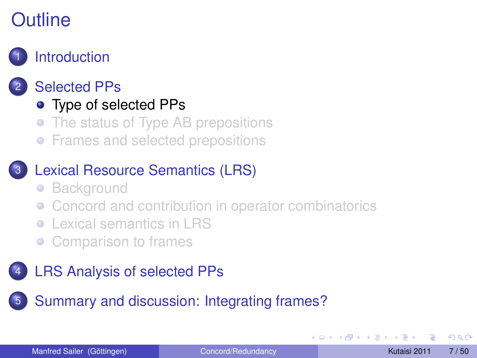

#### **[Selected PPs](#page-5-0)**

- [Type of selected PPs](#page-6-0)
- [The status of Type AB prepositions](#page-11-0)  $\bullet$
- **•** [Frames and selected prepositions](#page-19-0)

#### [Lexical Resource Semantics \(LRS\)](#page-21-0)

- [Background](#page-22-0)  $\bullet$
- [Concord and contribution in operator combinatorics](#page-26-0)
- [Lexical semantics in LRS](#page-32-0)
- <span id="page-6-0"></span>[Comparison to frames](#page-34-0)

#### [LRS Analysis of selected PPs](#page-36-0)

5 [Summary and discussion: Integrating frames?](#page-44-0)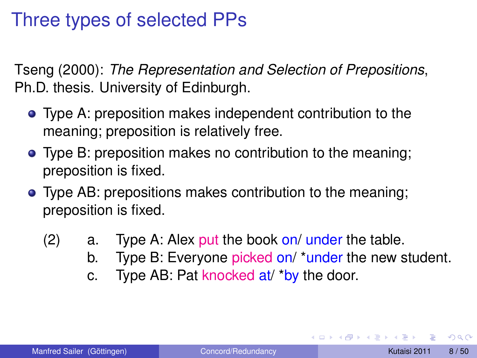## Three types of selected PPs

Tseng (2000): *The Representation and Selection of Prepositions*, Ph.D. thesis. University of Edinburgh.

- Type A: preposition makes independent contribution to the meaning; preposition is relatively free.
- Type B: preposition makes no contribution to the meaning; preposition is fixed.
- Type AB: prepositions makes contribution to the meaning; preposition is fixed.
	- $(2)$  a. Type A: Alex put the book on/ under the table.
		- b. Type B: Everyone picked on/ \*under the new student.
		- c. Type AB: Pat knocked at/ \*by the door.

 $\Omega$ 

イロト イ押 トイラト イラト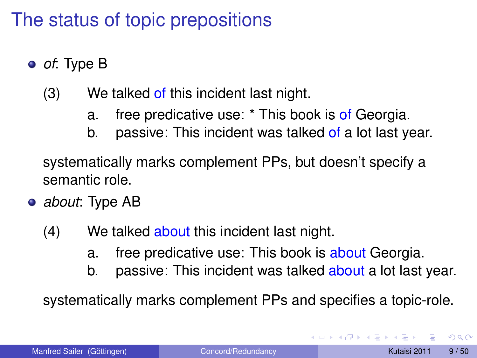## The status of topic prepositions

- *of*: Type B
	- $(3)$  We talked of this incident last night.
		- a. free predicative use: \* This book is of Georgia.
		- b. passive: This incident was talked of a lot last year.

systematically marks complement PPs, but doesn't specify a semantic role.

- *about*: Type AB
	- (4) We talked about this incident last night.
		- a. free predicative use: This book is about Georgia.
		- b. passive: This incident was talked about a lot last year.

systematically marks complement PPs and specifies a topic-role.

 $\rightarrow$   $\rightarrow$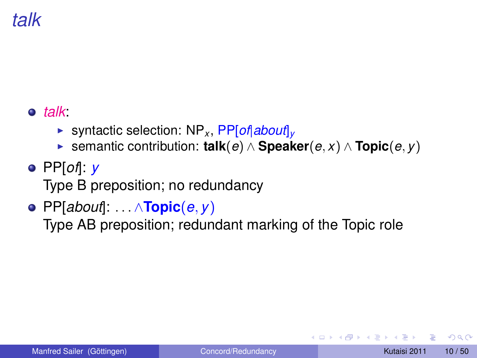## *talk*

#### *talk*:

- ▶ syntactic selection: NP<sub>*x*</sub>, PP[*of*|*about*]<sub>*v*</sub>
- <sup>I</sup> semantic contribution: **talk**(*e*) ∧ **Speaker**(*e*, *x*) ∧ **Topic**(*e*, *y*)
- PP[*of*]: *y* Type B preposition; no redundancy
- PP[*about*]: . . . ∧**Topic**(*e*, *y*)

Type AB preposition; redundant marking of the Topic role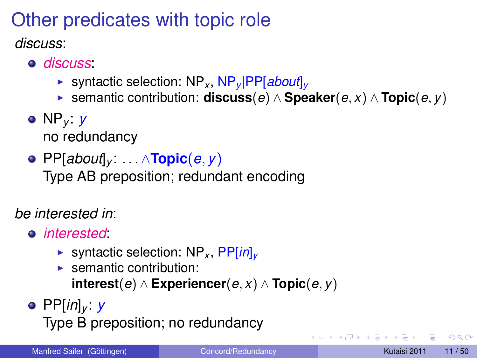## Other predicates with topic role

*discuss*:

- *discuss*:
	- ▶ syntactic selection: NP<sub>*x*</sub>, NP<sub>*v*</sub> |PP[*about*]<sub>*v*</sub>
	- <sup>I</sup> semantic contribution: **discuss**(*e*) ∧ **Speaker**(*e*, *x*) ∧ **Topic**(*e*, *y*)
- NP*<sup>y</sup>* : *y* no redundancy
- PP[*about*]*<sup>y</sup>* : . . . ∧**Topic**(*e*, *y*)

Type AB preposition; redundant encoding

*be interested in*:

- *interested*:
	- ▶ syntactic selection: NP<sub>*x*</sub>, PP[*in*]<sub>*v*</sub>
	- $\blacktriangleright$  semantic contribution: **interest**(*e*) ∧ **Experiencer**(*e*, *x*) ∧ **Topic**(*e*, *y*)
- PP[*in*]*<sup>y</sup>* : *y* Type B preposition; no redundancy

 $\Omega$ 

化重氮化重氮化

 $\leftarrow$   $\Box$   $\rightarrow$   $\leftarrow$   $\leftarrow$   $\Box$   $\rightarrow$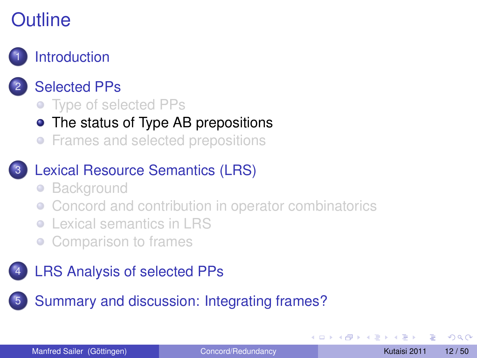#### **[Introduction](#page-1-0)**

#### **[Selected PPs](#page-5-0)**

- [Type of selected PPs](#page-6-0)
- [The status of Type AB prepositions](#page-11-0)
- **•** [Frames and selected prepositions](#page-19-0)

#### [Lexical Resource Semantics \(LRS\)](#page-21-0)

- [Background](#page-22-0)  $\bullet$
- [Concord and contribution in operator combinatorics](#page-26-0)
- [Lexical semantics in LRS](#page-32-0)
- <span id="page-11-0"></span>[Comparison to frames](#page-34-0)

#### [LRS Analysis of selected PPs](#page-36-0)

5 [Summary and discussion: Integrating frames?](#page-44-0)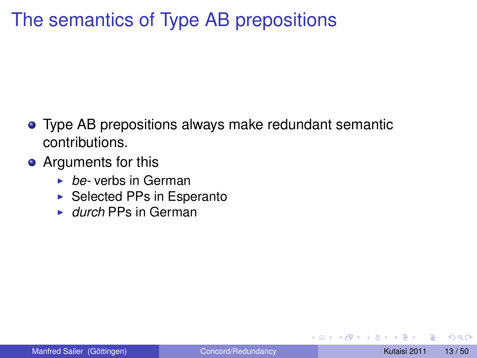## The semantics of Type AB prepositions

- Type AB prepositions always make redundant semantic contributions.
- Arguments for this
	- ► *be-* verbs in German
	- $\triangleright$  Selected PPs in Esperanto
	- ► *durch* PPs in German

 $\Omega$ 

 $\mathcal{A}$  . If  $\mathcal{B}$  and  $\mathcal{A}$  is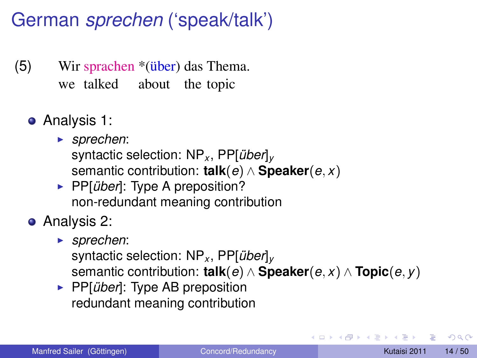## German *sprechen* ('speak/talk')

- (5) Wir sprachen \*(<del>übe</del>r) das Thema. we talked about the topic
	- Analysis 1:
		- ► *sprechen*:
			- syntactic selection: NP*<sup>x</sup>* , PP[*über*]*<sup>y</sup>* semantic contribution: **talk**(*e*) ∧ **Speaker**(*e*, *x*)
		- ▶ PP[*über*]: Type A preposition? non-redundant meaning contribution
	- **•** Analysis 2:
		- <sup>I</sup> *sprechen*:

syntactic selection: NP*<sup>x</sup>* , PP[*über*]*<sup>y</sup>* semantic contribution: **talk**(*e*) ∧ **Speaker**(*e*, *x*) ∧ **Topic**(*e*, *y*)

**PP**[*über*]: Type AB preposition redundant meaning contribution

 $\Omega$ 

**REPAREM**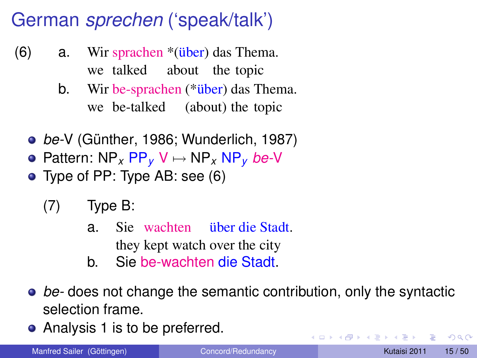## German *sprechen* ('speak/talk')

- <span id="page-14-0"></span>(6) a. Wir sprachen \*(über) das Thema. we talked about the topic
	- b. Wir be-sprachen (\*über) das Thema. we be-talked (about) the topic
	- *be-*V (Günther, 1986; Wunderlich, 1987)
	- Pattern: NP*<sup>x</sup>* PP*<sup>y</sup>* V 7→ NP*<sup>x</sup>* NP*<sup>y</sup> be-*V
	- Type of PP: Type AB: see [\(6\)](#page-14-0)
		- (7) Type B:
			- a. Sie wachten über die Stadt. they kept watch over the city
			- b. Sie be-wachten die Stadt.
	- *be-* does not change the semantic contribution, only the syntactic selection frame.
	- Analysis 1 is to be preferred.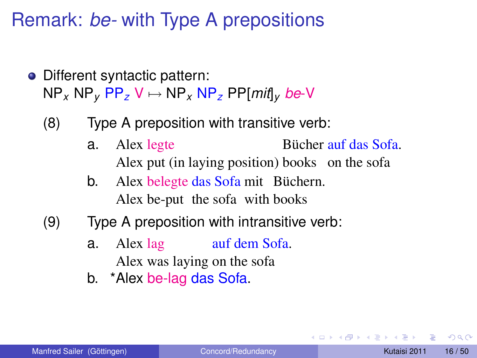Remark: *be-* with Type A prepositions

- Different syntactic pattern:  $NP<sub>x</sub> NP<sub>y</sub> PP<sub>z</sub> V \mapsto NP<sub>x</sub> NP<sub>z</sub> PP[*mit*]$ <sub>v</sub> *be*-V
	- (8) Type A preposition with transitive verb:
		- a. Alex legte Alex put (in laying position) books on the sofa Bücher auf das Sofa.
		- b. Alex belegte das Sofa mit Büchern. Alex be-put the sofa with books
	- (9) Type A preposition with intransitive verb:
		- a. Alex lag Alex was laying on the sofa auf dem Sofa.
		- b. \*Alex be-lag das Sofa.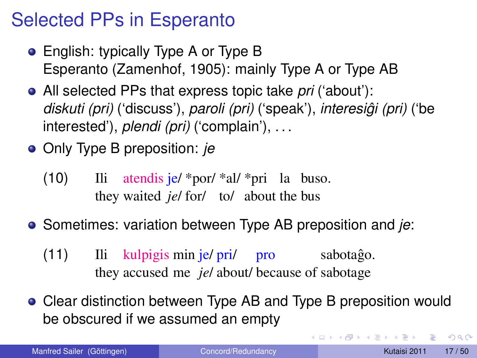## Selected PPs in Esperanto

- English: typically Type A or Type B Esperanto (Zamenhof, 1905): mainly Type A or Type AB
- All selected PPs that express topic take *pri* ('about'): *diskuti (pri)* ('discuss'), *paroli (pri)* ('speak'), *interesigi (pri) ˆ* ('be interested'), *plendi (pri)* ('complain'), . . .
- Only Type B preposition: *je*
	- $(10)$ they waited *je*/ for/ to/ about the bus atendis je/ \*por/ \*al/ \*pri la buso.
- Sometimes: variation between Type AB preposition and *je*:
	- (11) Ili kulpigis min je/ pri/ pro they accused me *je*/ about/ because of sabotage sabotaĝo.
- Clear distinction between Type AB and Type B preposition would be obscured if we assumed an empty

 $\Omega$ 

イロメ イ押メ イヨメ イヨメー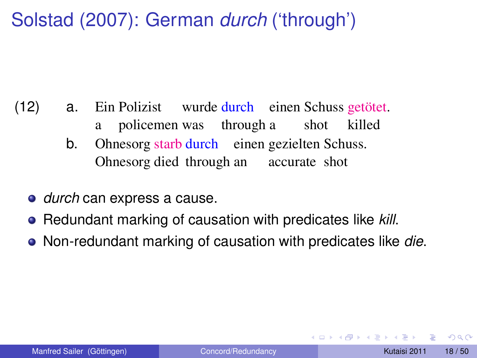## Solstad (2007): German *durch* ('through')

- (12) a. a Polizist wurde durch einen Schuss getötet. policemen was through a shot killed
	- b. Ohnesorg starb durch einen gezielten Schuss. Ohnesorg died through an accurate shot
	- *durch* can express a cause.
	- Redundant marking of causation with predicates like *kill*.
	- Non-redundant marking of causation with predicates like *die*.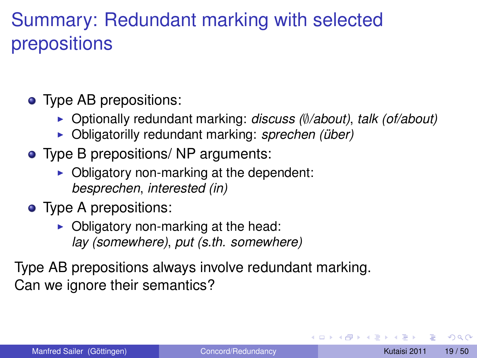## Summary: Redundant marking with selected prepositions

- Type AB prepositions:
	- <sup>I</sup> Optionally redundant marking: *discuss (*∅*/about)*, *talk (of/about)*
	- ▶ Obligatorilly redundant marking: *sprechen (über)*
- Type B prepositions/ NP arguments:
	- $\triangleright$  Obligatory non-marking at the dependent: *besprechen*, *interested (in)*
- Type A prepositions:
	- $\triangleright$  Obligatory non-marking at the head: *lay (somewhere)*, *put (s.th. somewhere)*

Type AB prepositions always involve redundant marking. Can we ignore their semantics?

 $\Omega$ 

**REPAREM**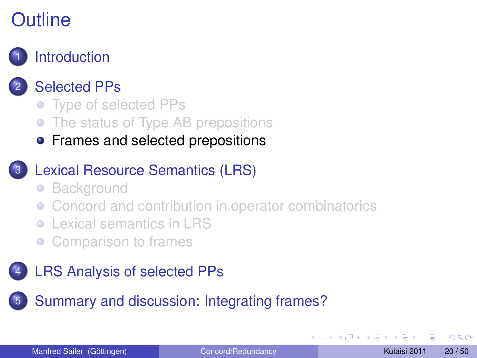

#### **[Selected PPs](#page-5-0)**

- [Type of selected PPs](#page-6-0)
- [The status of Type AB prepositions](#page-11-0)
- **•** [Frames and selected prepositions](#page-19-0)

#### [Lexical Resource Semantics \(LRS\)](#page-21-0)

- **[Background](#page-22-0)**  $\bullet$
- [Concord and contribution in operator combinatorics](#page-26-0)
- [Lexical semantics in LRS](#page-32-0)
- <span id="page-19-0"></span>[Comparison to frames](#page-34-0)

#### [LRS Analysis of selected PPs](#page-36-0)

5 [Summary and discussion: Integrating frames?](#page-44-0)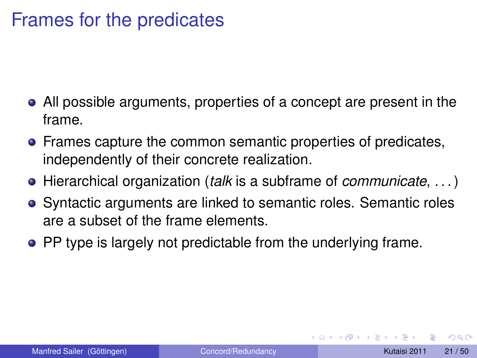#### Frames for the predicates

- All possible arguments, properties of a concept are present in the frame.
- **•** Frames capture the common semantic properties of predicates, independently of their concrete realization.
- Hierarchical organization (*talk* is a subframe of *communicate*, . . . )
- Syntactic arguments are linked to semantic roles. Semantic roles are a subset of the frame elements.
- PP type is largely not predictable from the underlying frame.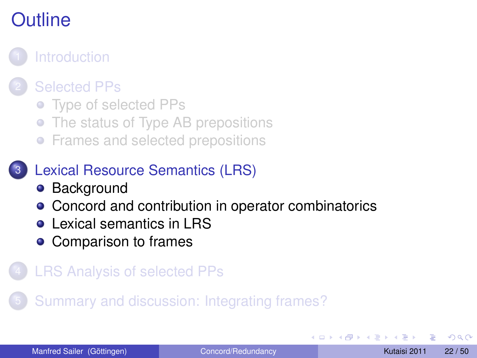

#### **[Selected PPs](#page-5-0)**

- [Type of selected PPs](#page-6-0)
- [The status of Type AB prepositions](#page-11-0)
- **•** [Frames and selected prepositions](#page-19-0)

#### [Lexical Resource Semantics \(LRS\)](#page-21-0)

- [Background](#page-22-0)
- [Concord and contribution in operator combinatorics](#page-26-0)
- **[Lexical semantics in LRS](#page-32-0)**
- <span id="page-21-0"></span>• [Comparison to frames](#page-34-0)

#### **[LRS Analysis of selected PPs](#page-36-0)**

5 [Summary and discussion: Integrating frames?](#page-44-0)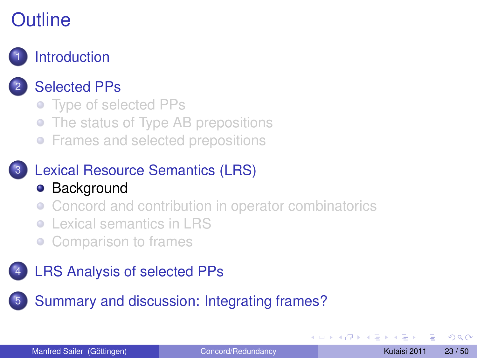

#### **[Selected PPs](#page-5-0)**

- [Type of selected PPs](#page-6-0)
- [The status of Type AB prepositions](#page-11-0)
- **•** [Frames and selected prepositions](#page-19-0)

# [Lexical Resource Semantics \(LRS\)](#page-21-0)

- **•** [Background](#page-22-0)
- [Concord and contribution in operator combinatorics](#page-26-0)
- [Lexical semantics in LRS](#page-32-0)
- <span id="page-22-0"></span>[Comparison to frames](#page-34-0)

#### [LRS Analysis of selected PPs](#page-36-0)

5 [Summary and discussion: Integrating frames?](#page-44-0)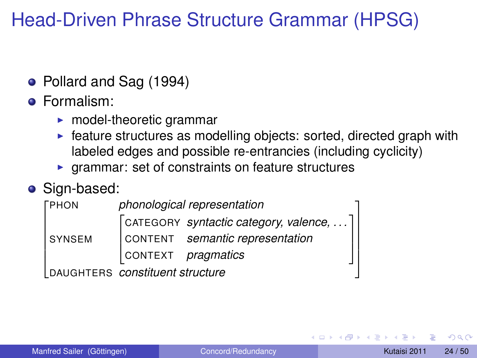## Head-Driven Phrase Structure Grammar (HPSG)

• Pollard and Sag (1994)

#### **•** Formalism:

- $\blacktriangleright$  model-theoretic grammar
- $\triangleright$  feature structures as modelling objects: sorted, directed graph with labeled edges and possible re-entrancies (including cyclicity)
- $\triangleright$  grammar: set of constraints on feature structures

#### • Sign-based:

| <b><i>FPHON</i></b>             |                           | phonological representation                             |  |
|---------------------------------|---------------------------|---------------------------------------------------------|--|
|                                 |                           | $\lceil$ CATEGORY syntactic category, valence, $\rceil$ |  |
| <b>SYNSEM</b>                   |                           | CONTENT semantic representation                         |  |
|                                 | CONTEXT <i>pragmatics</i> |                                                         |  |
| DAUGHTERS constituent structure |                           |                                                         |  |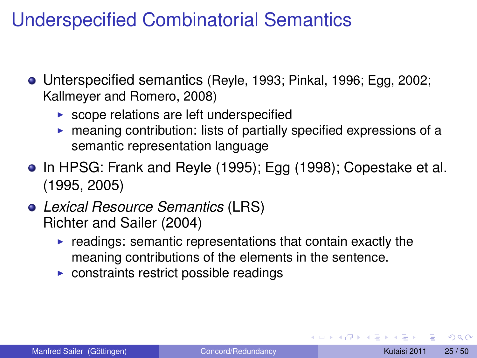## Underspecified Combinatorial Semantics

- Unterspecified semantics (Reyle, 1993; Pinkal, 1996; Egg, 2002; Kallmeyer and Romero, 2008)
	- $\triangleright$  scope relations are left underspecified
	- $\triangleright$  meaning contribution: lists of partially specified expressions of a semantic representation language
- In HPSG: Frank and Reyle (1995); Egg (1998); Copestake et al. (1995, 2005)
- *Lexical Resource Semantics* (LRS) Richter and Sailer (2004)
	- $\blacktriangleright$  readings: semantic representations that contain exactly the meaning contributions of the elements in the sentence.
	- $\triangleright$  constraints restrict possible readings

 $\Omega$ 

医单侧 医骨间的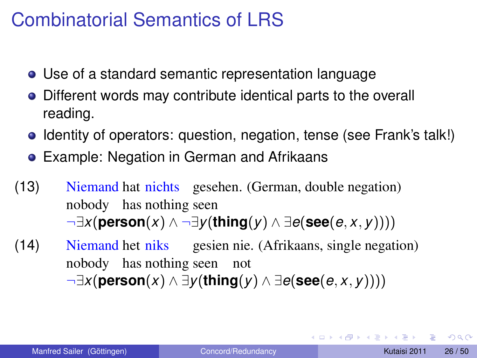#### Combinatorial Semantics of LRS

- Use of a standard semantic representation language
- Different words may contribute identical parts to the overall reading.
- Identity of operators: question, negation, tense (see Frank's talk!)
- Example: Negation in German and Afrikaans
- (13) Niemand hat nichts gesehen. (German, double negation) nobody has nothing seen ¬∃*x*(**person**(*x*) ∧ ¬∃*y*(**thing**(*y*) ∧ ∃*e*(**see**(*e*, *x*, *y*))))
- (14) Niemand het niks nobody has nothing seen not gesien nie. (Afrikaans, single negation) ¬∃*x*(**person**(*x*) ∧ ∃*y*(**thing**(*y*) ∧ ∃*e*(**see**(*e*, *x*, *y*))))

в

 $\Omega$ 

イロト イ押ト イヨト イヨトー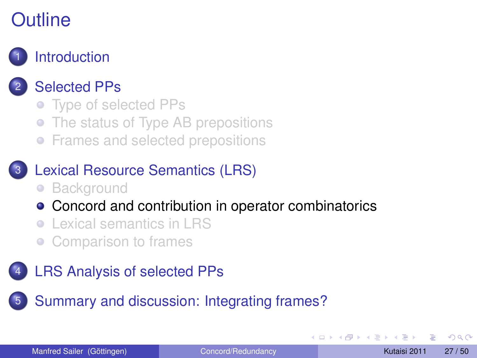

### **[Selected PPs](#page-5-0)**

- [Type of selected PPs](#page-6-0)
- [The status of Type AB prepositions](#page-11-0)
- **•** [Frames and selected prepositions](#page-19-0)

#### [Lexical Resource Semantics \(LRS\)](#page-21-0)

- [Background](#page-22-0)
- [Concord and contribution in operator combinatorics](#page-26-0)
- [Lexical semantics in LRS](#page-32-0)
- <span id="page-26-0"></span>[Comparison to frames](#page-34-0)

#### [LRS Analysis of selected PPs](#page-36-0)

5 [Summary and discussion: Integrating frames?](#page-44-0)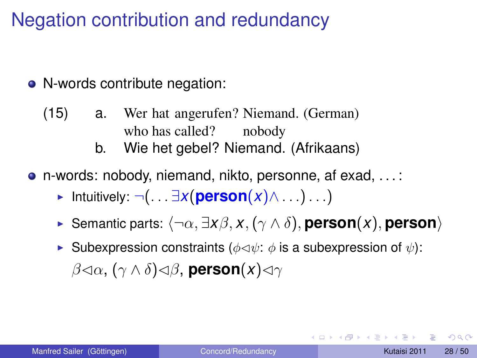## Negation contribution and redundancy

- N-words contribute negation:
	- (15) a. Wer hat angerufen? Niemand. (German) who has called? nobody
		- b. Wie het gebel? Niemand. (Afrikaans)
- n-words: nobody, niemand, nikto, personne, af exad, . . . :
	- **►** Intuitively:  $\neg$ (...  $\exists x (person(x) \wedge \dots) \dots)$
	- $\triangleright$  Semantic parts:  $\langle \neg \alpha, \exists x \beta, x, (\gamma \wedge \delta),$  **person** $\langle x \rangle$ , **person** $\rangle$
	- **I** Subexpression constraints ( $\phi \triangleleft \psi$ :  $\phi$  is a subexpression of  $\psi$ ):  $β$ <(α, (γ ∧ δ)<(β, person(*x*)<(γ

 $\Omega$ 

 $\mathcal{A} \cap \mathcal{B} \rightarrow \mathcal{A} \supseteq \mathcal{B} \rightarrow \mathcal{A} \supseteq \mathcal{B} \rightarrow \mathcal{B} \supseteq \mathcal{B}$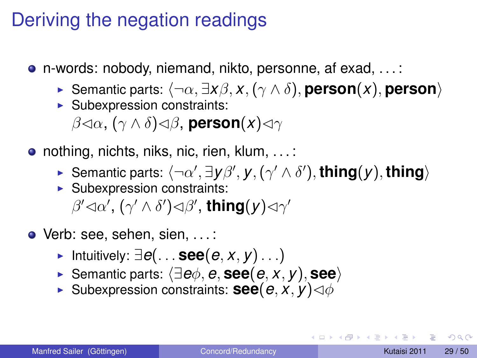### Deriving the negation readings

- n-words: nobody, niemand, nikto, personne, af exad, . . . :
	- $\triangleright$  Semantic parts:  $\langle \neg \alpha, \exists x \beta, x, (\gamma \wedge \delta),$  **person** $\langle x \rangle$ , **person** $\rangle$
	- $\blacktriangleright$  Subexpression constraints:

 $\beta$ ⊲α, (γ ∧ δ)⊲β, **person**(*x*)⊲γ

- nothing, nichts, niks, nic, rien, klum, ...:
	- ► Semantic parts:  $\langle \neg \alpha', \exists y \beta', y, (\gamma' \wedge \delta'), \mathsf{thing}(y), \mathsf{thing} \rangle$
	- $\blacktriangleright$  Subexpression constraints:

 $\beta' \lhd \alpha', (\gamma' \land \delta') \lhd \beta',$  thing $(y) \lhd \gamma'$ 

- Verb: see, sehen, sien, ...:
	- <sup>I</sup> Intuitively: ∃*e*(. . . **see**(*e*, *x*, *y*). . .)
	- <sup>I</sup> Semantic parts: h∃*e*φ, *e*, **see**(*e*, *x*, *y*), **see**i
	- **Example Subexpression constraints: <b>see**( $e, x, y$ ) $\triangleleft$

 $\Omega$ 

イロト イ押 トイラト イラト・ラー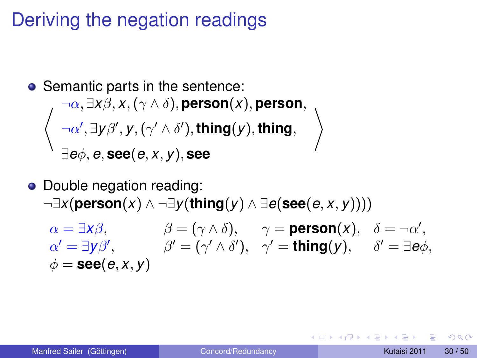## Deriving the negation readings

\n- Semantic parts in the sentence:
\n- $$
\neg \alpha, \exists x \beta, x, (\gamma \land \delta), \text{person}(x), \text{person},
$$
\n- $\left\langle \neg \alpha', \exists y \beta', y, (\gamma' \land \delta'), \text{thing}(y), \text{thing}, \right\rangle$
\n- $\exists e \phi, e, \text{see}(e, x, y), \text{see}$
\n

## • Double negation reading: ¬∃*x*(**person**(*x*) ∧ ¬∃*y*(**thing**(*y*) ∧ ∃*e*(**see**(*e*, *x*, *y*))))

 $\alpha = \exists x\beta,$   $\beta = (\gamma \wedge \delta),$   $\gamma = \text{person}(x),$   $\delta = \neg \alpha',$  $\alpha' = \exists y \beta',$   $\beta' = (\gamma' \wedge \delta'), \gamma' = \text{thing}(y), \delta' = \exists e \phi,$  $\phi =$ **see** $(e, x, y)$ 

 $\Omega$ 

イロト イ押ト イヨト イヨト ニヨ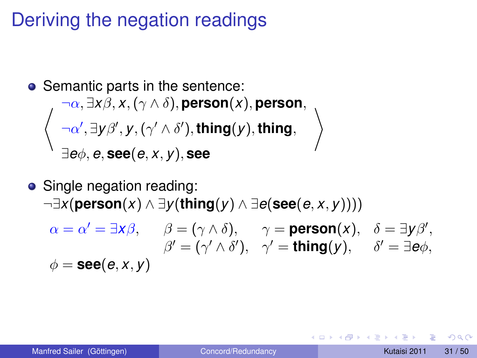## Deriving the negation readings

\n- Semantic parts in the sentence:
\n- $$
\neg \alpha, \exists x \beta, x, (\gamma \land \delta), \text{person}(x), \text{person},
$$
\n- $\left\langle \neg \alpha', \exists y \beta', y, (\gamma' \land \delta'), \text{thing}(y), \text{thing}, \right\rangle$
\n- $\exists e \phi, e, \text{see}(e, x, y), \text{see}$
\n

#### • Single negation reading: ¬∃*x*(**person**(*x*) ∧ ∃*y*(**thing**(*y*) ∧ ∃*e*(**see**(*e*, *x*, *y*))))  $\alpha = \alpha' = \exists x \beta, \quad \beta = (\gamma \wedge \delta), \quad \gamma = \text{person}(x), \quad \delta = \exists y \beta',$

$$
\beta' = (\gamma' \wedge \delta'), \quad \gamma' = \mathbf{thing}(y), \quad \delta' = \exists e\phi,
$$
  

$$
\phi = \mathbf{see}(e, x, y)
$$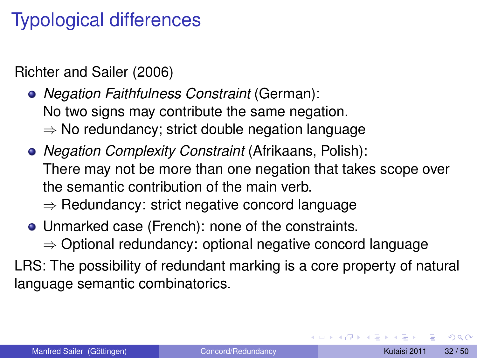## Typological differences

Richter and Sailer (2006)

*Negation Faithfulness Constraint* (German): No two signs may contribute the same negation. ⇒ No redundancy; strict double negation language

*Negation Complexity Constraint* (Afrikaans, Polish): There may not be more than one negation that takes scope over the semantic contribution of the main verb.

⇒ Redundancy: strict negative concord language

- Unmarked case (French): none of the constraints.
	- ⇒ Optional redundancy: optional negative concord language

LRS: The possibility of redundant marking is a core property of natural language semantic combinatorics.

 $\Omega$ 

イロト イ押 トイラト イラト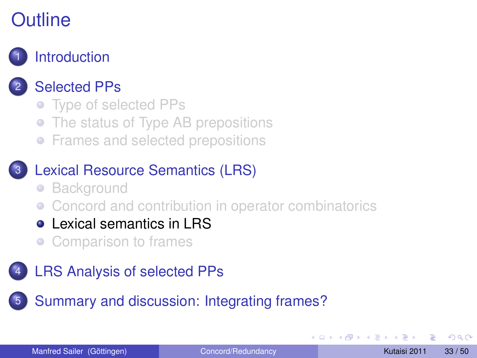

#### **[Selected PPs](#page-5-0)**

- [Type of selected PPs](#page-6-0)
- [The status of Type AB prepositions](#page-11-0)
- **•** [Frames and selected prepositions](#page-19-0)

#### [Lexical Resource Semantics \(LRS\)](#page-21-0)

- [Background](#page-22-0)
- [Concord and contribution in operator combinatorics](#page-26-0)
- **[Lexical semantics in LRS](#page-32-0)**
- <span id="page-32-0"></span>[Comparison to frames](#page-34-0)

#### [LRS Analysis of selected PPs](#page-36-0)

5 [Summary and discussion: Integrating frames?](#page-44-0)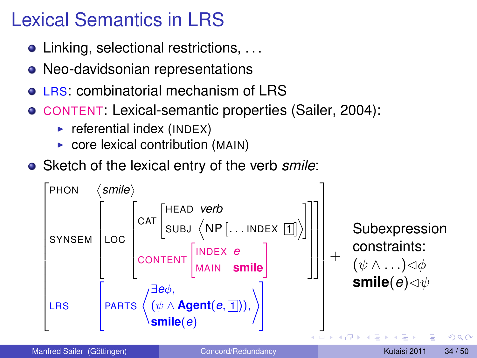## Lexical Semantics in LRS

- Linking, selectional restrictions, ...
- Neo-davidsonian representations
- LRS: combinatorial mechanism of LRS
- CONTENT: Lexical-semantic properties (Sailer, 2004):
	- $\blacktriangleright$  referential index (INDEX)
	- $\triangleright$  core lexical contribution (MAIN)
- Sketch of the lexical entry of the verb *smile*:



Manfred Sailer (Göttingen) [Concord/Redundancy](#page-0-0) Concord/Redundancy Kutaisi 2011 34 / 50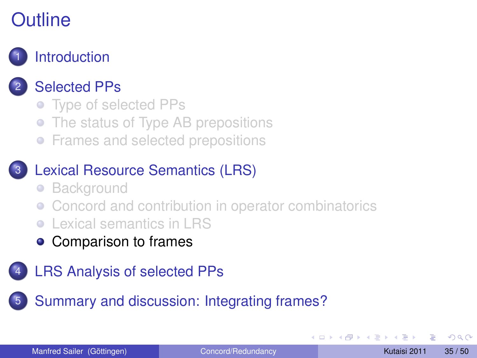

#### **[Selected PPs](#page-5-0)**

- [Type of selected PPs](#page-6-0)
- [The status of Type AB prepositions](#page-11-0)
- **•** [Frames and selected prepositions](#page-19-0)

#### [Lexical Resource Semantics \(LRS\)](#page-21-0)

- [Background](#page-22-0)
- [Concord and contribution in operator combinatorics](#page-26-0)
- [Lexical semantics in LRS](#page-32-0)
- <span id="page-34-0"></span>• [Comparison to frames](#page-34-0)
- [LRS Analysis of selected PPs](#page-36-0)

5 [Summary and discussion: Integrating frames?](#page-44-0)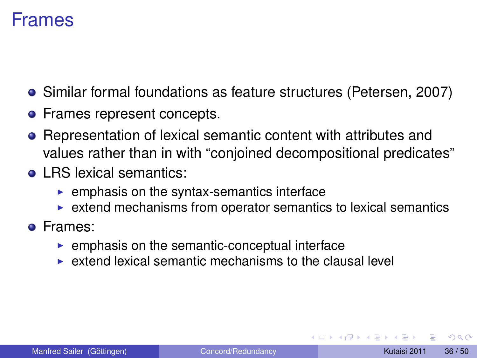#### Frames

- Similar formal foundations as feature structures (Petersen, 2007)
- Frames represent concepts.
- Representation of lexical semantic content with attributes and values rather than in with "conjoined decompositional predicates"
- **o** LRS lexical semantics:
	- $\blacktriangleright$  emphasis on the syntax-semantics interface
	- $\triangleright$  extend mechanisms from operator semantics to lexical semantics
- Frames:
	- $\blacktriangleright$  emphasis on the semantic-conceptual interface
	- $\triangleright$  extend lexical semantic mechanisms to the clausal level

 $\Omega$ 

化重氮化重氮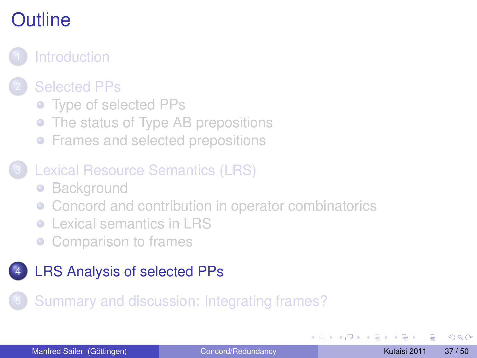

#### **[Selected PPs](#page-5-0)**

- [Type of selected PPs](#page-6-0)
- [The status of Type AB prepositions](#page-11-0)
- **•** [Frames and selected prepositions](#page-19-0)

#### [Lexical Resource Semantics \(LRS\)](#page-21-0)

- [Background](#page-22-0)
- [Concord and contribution in operator combinatorics](#page-26-0)
- [Lexical semantics in LRS](#page-32-0)
- <span id="page-36-0"></span>[Comparison to frames](#page-34-0)

#### [LRS Analysis of selected PPs](#page-36-0)

#### 5 [Summary and discussion: Integrating frames?](#page-44-0)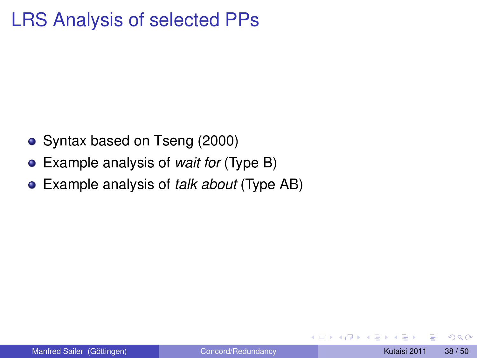## LRS Analysis of selected PPs

- Syntax based on Tseng (2000)
- Example analysis of *wait for* (Type B)
- Example analysis of *talk about* (Type AB)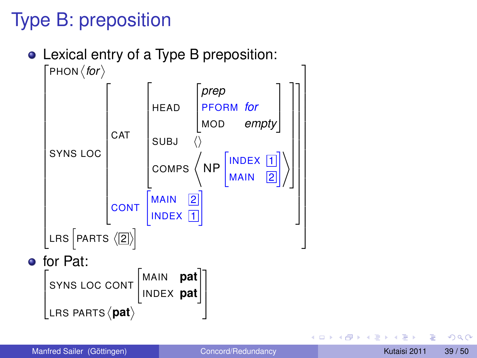## Type B: preposition

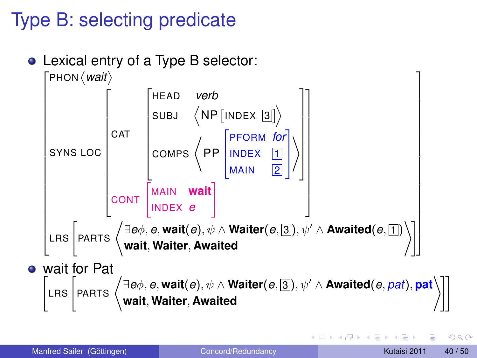## Type B: selecting predicate





∽≏∩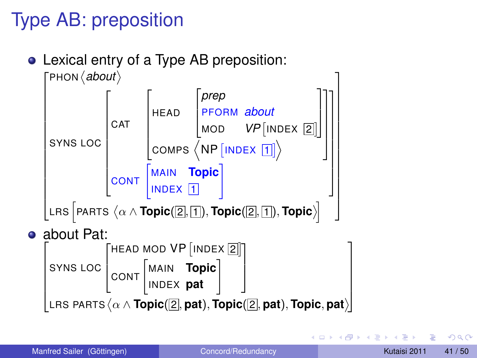## Type AB: preposition





Manfred Sailer (Göttingen) [Concord/Redundancy](#page-0-0) Kutaisi 2011 41/50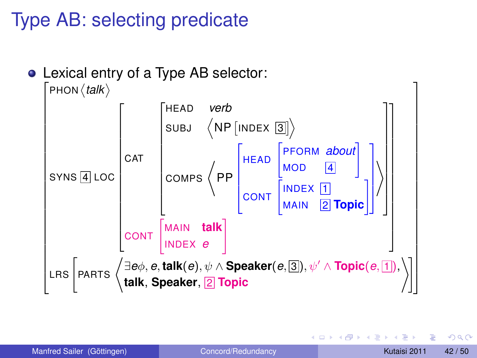## Type AB: selecting predicate



∽≏∩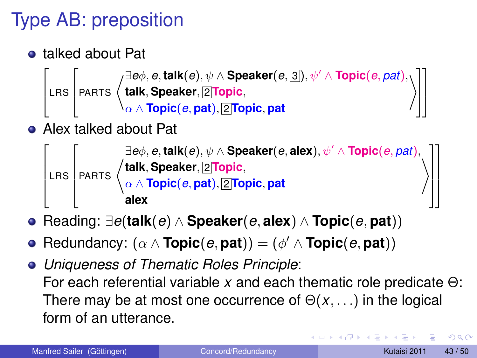# Type AB: preposition

talked about Pat

 $\sqrt{2}$ 

```
6
4
LRS
                \sqrt{2}Eeφ, e, talk(e), ψ ∧ Speaker(e, 3), ψ' ∧ Topic(e, pat),<br>PARTS \left\{\n\begin{array}{l}\n\exists e \phi, e, \text{talk}, \text{Speaker}, \boxed{2| \text{Topic}}, \\
\alpha \land \text{Topic}, e, \text{path}, \boxed{2| \text{Topic}, p}.\n\end{array}\n\right\}talk, Speaker, 2 Topic,
                                               \alpha\wedge\mathsf{Topic}(e,\mathsf{pat}), 2 Topic, \mathsf{pat}\sqrt{ }\mathcal{L}
```
Alex talked about Pat



- Reading: ∃*e*(**talk**(*e*) ∧ **Speaker**(*e*, **alex**) ∧ **Topic**(*e*, **pat**))
- $Redundancy: (\alpha \wedge \textbf{Topic}(e, \textbf{pat})) = (\phi' \wedge \textbf{Topic}(e, \textbf{pat}))$
- *Uniqueness of Thematic Roles Principle*: For each referential variable *x* and each thematic role predicate Θ: There may be at most one occurrence of  $\Theta(x, \ldots)$  in the logical form of an utterance.

 $\Omega$ 

1  $\parallel$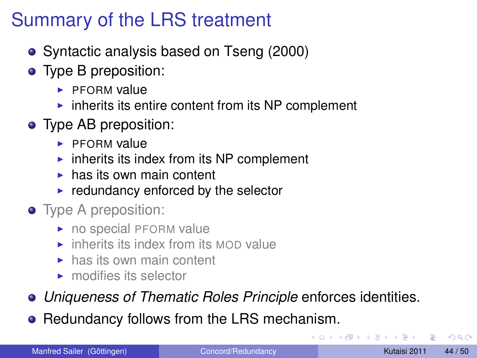## Summary of the LRS treatment

- Syntactic analysis based on Tseng (2000)
- Type B preposition:
	- $\blacktriangleright$  PEORM value
	- $\triangleright$  inherits its entire content from its NP complement
- Type AB preposition:
	- $\blacktriangleright$  PFORM value
	- $\blacktriangleright$  inherits its index from its NP complement
	- $\blacktriangleright$  has its own main content
	- $\blacktriangleright$  redundancy enforced by the selector
- Type A preposition:
	- $\triangleright$  no special PFORM value
	- $\blacktriangleright$  inherits its index from its MOD value
	- $\blacktriangleright$  has its own main content
	- $\blacktriangleright$  modifies its selector
- *Uniqueness of Thematic Roles Principle* enforces identities.
- Redundancy follows from the LRS mechanism.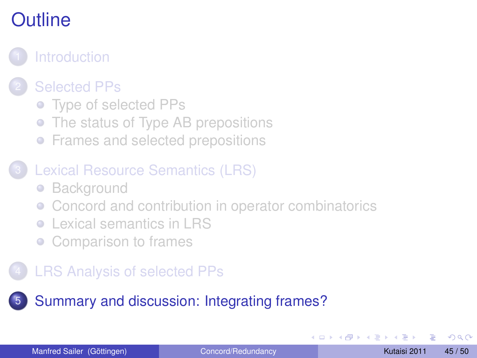## <span id="page-44-0"></span>**[Introduction](#page-1-0) [Selected PPs](#page-5-0)** • [Type of selected PPs](#page-6-0) • [The status of Type AB prepositions](#page-11-0) **•** [Frames and selected prepositions](#page-19-0) [Lexical Resource Semantics \(LRS\)](#page-21-0) • [Background](#page-22-0) • [Concord and contribution in operator combinatorics](#page-26-0) [Lexical semantics in LRS](#page-32-0) [Comparison to frames](#page-34-0) **[LRS Analysis of selected PPs](#page-36-0)** 5 [Summary and discussion: Integrating frames?](#page-44-0)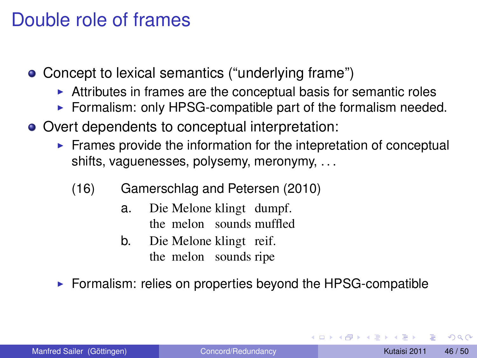#### Double role of frames

- Concept to lexical semantics ("underlying frame")
	- $\blacktriangleright$  Attributes in frames are the conceptual basis for semantic roles
	- $\triangleright$  Formalism: only HPSG-compatible part of the formalism needed.
- Overt dependents to conceptual interpretation:
	- $\blacktriangleright$  Frames provide the information for the intepretation of conceptual shifts, vaguenesses, polysemy, meronymy, . . .
		- (16) Gamerschlag and Petersen (2010)
			- a. Die Melone klingt dumpf. the melon sounds muffled
			- b. Die Melone klingt reif. the melon sounds ripe
	- $\triangleright$  Formalism: relies on properties beyond the HPSG-compatible

 $\Omega$ 

イロト イ押 トイラト イラト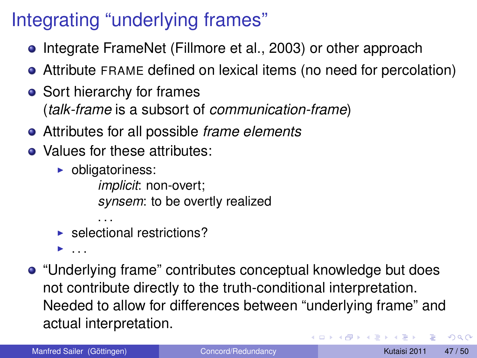## Integrating "underlying frames"

- **•** Integrate FrameNet (Fillmore et al., 2003) or other approach
- Attribute FRAME defined on lexical items (no need for percolation)
- Sort hierarchy for frames (*talk-frame* is a subsort of *communication-frame*)
- Attributes for all possible *frame elements*
- Values for these attributes:
	- $\triangleright$  obligatoriness:

*implicit*: non-overt; *synsem*: to be overtly realized

. . .  $\blacktriangleright$  selectional restrictions?

 $\blacktriangleright$  . . . .

"Underlying frame" contributes conceptual knowledge but does not contribute directly to the truth-conditional interpretation. Needed to allow for differences between "underlying frame" and actual interpretation. K ロ ⊁ K 御 ⊁ K 君 ⊁ K 君 ⊁ … в  $\Omega$ 

Manfred Sailer (Göttingen) [Concord/Redundancy](#page-0-0) Concord/Redundancy Kutaisi 2011 47/50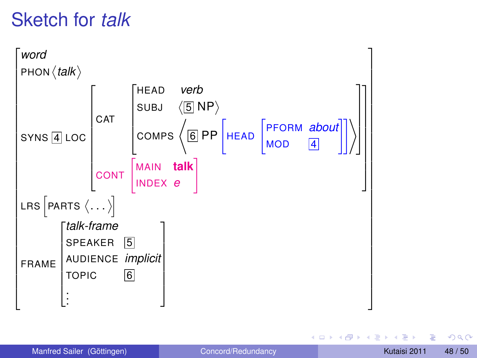## Sketch for *talk*

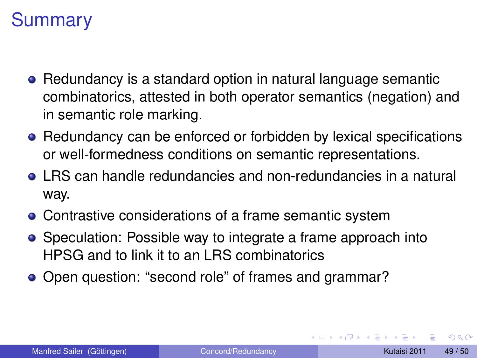## **Summary**

- Redundancy is a standard option in natural language semantic combinatorics, attested in both operator semantics (negation) and in semantic role marking.
- Redundancy can be enforced or forbidden by lexical specifications or well-formedness conditions on semantic representations.
- LRS can handle redundancies and non-redundancies in a natural way.
- Contrastive considerations of a frame semantic system
- Speculation: Possible way to integrate a frame approach into HPSG and to link it to an LRS combinatorics
- Open question: "second role" of frames and grammar?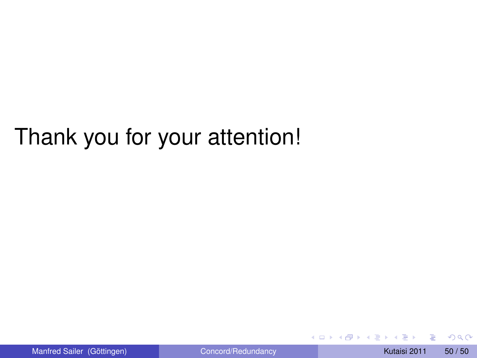# Thank you for your attention!

4 0 8 1  $\leftarrow$   $\leftarrow$   $\leftarrow$  $\sim$ G.  $\sim$  $\sim$  <span id="page-49-0"></span> $QQ$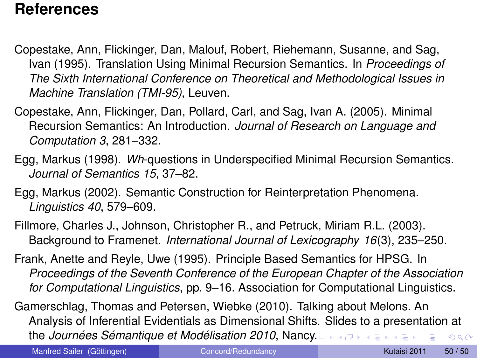#### **References**

- Copestake, Ann, Flickinger, Dan, Malouf, Robert, Riehemann, Susanne, and Sag, Ivan (1995). Translation Using Minimal Recursion Semantics. In *Proceedings of The Sixth International Conference on Theoretical and Methodological Issues in Machine Translation (TMI-95)*, Leuven.
- Copestake, Ann, Flickinger, Dan, Pollard, Carl, and Sag, Ivan A. (2005). Minimal Recursion Semantics: An Introduction. *Journal of Research on Language and Computation 3*, 281–332.
- Egg, Markus (1998). *Wh*-questions in Underspecified Minimal Recursion Semantics. *Journal of Semantics 15*, 37–82.
- Egg, Markus (2002). Semantic Construction for Reinterpretation Phenomena. *Linguistics 40*, 579–609.
- Fillmore, Charles J., Johnson, Christopher R., and Petruck, Miriam R.L. (2003). Background to Framenet. *International Journal of Lexicography 16*(3), 235–250.
- Frank, Anette and Reyle, Uwe (1995). Principle Based Semantics for HPSG. In *Proceedings of the Seventh Conference of the European Chapter of the Association for Computational Linguistics*, pp. 9–16. Association for Computational Linguistics.

Gamerschlag, Thomas and Petersen, Wiebke (2010). Talking about Melons. An Analysis of Inferential Evidentials as Dimensional Shifts. Slides to a presentation at the *Journées Sémantique et Modélisation 2010*, Nan[cy.](#page-49-0) **Sing**  $QQ$ 

<span id="page-50-0"></span>Manfred Sailer (Göttingen) [Concord/Redundancy](#page-0-0) Kutaisi 2011 50 / 50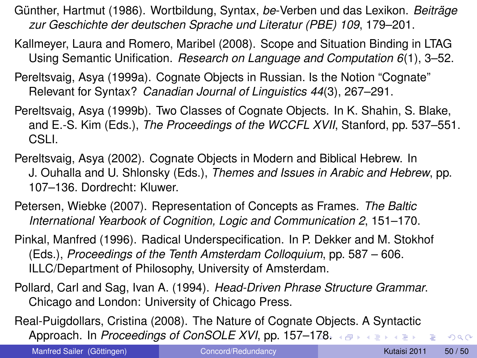- Günther, Hartmut (1986). Wortbildung, Syntax, *be*-Verben und das Lexikon. *Beiträge zur Geschichte der deutschen Sprache und Literatur (PBE) 109*, 179–201.
- Kallmeyer, Laura and Romero, Maribel (2008). Scope and Situation Binding in LTAG Using Semantic Unification. *Research on Language and Computation 6*(1), 3–52.
- Pereltsvaig, Asya (1999a). Cognate Objects in Russian. Is the Notion "Cognate" Relevant for Syntax? *Canadian Journal of Linguistics 44*(3), 267–291.
- Pereltsvaig, Asya (1999b). Two Classes of Cognate Objects. In K. Shahin, S. Blake, and E.-S. Kim (Eds.), *The Proceedings of the WCCFL XVII*, Stanford, pp. 537–551. CSLI.
- Pereltsvaig, Asya (2002). Cognate Objects in Modern and Biblical Hebrew. In J. Ouhalla and U. Shlonsky (Eds.), *Themes and Issues in Arabic and Hebrew*, pp. 107–136. Dordrecht: Kluwer.
- Petersen, Wiebke (2007). Representation of Concepts as Frames. *The Baltic International Yearbook of Cognition, Logic and Communication 2*, 151–170.
- Pinkal, Manfred (1996). Radical Underspecification. In P. Dekker and M. Stokhof (Eds.), *Proceedings of the Tenth Amsterdam Colloquium*, pp. 587 – 606. ILLC/Department of Philosophy, University of Amsterdam.
- Pollard, Carl and Sag, Ivan A. (1994). *Head-Driven Phrase Structure Grammar*. Chicago and London: University of Chicago Press.
- Real-Puigdollars, Cristina (2008). The Nature of Cognate Objects. A Syntactic **Approach. In Proceedings of ConSOLE XVI, pp. 157[–17](#page-50-0)[8.](#page-52-0)**  $\longleftrightarrow$

Manfred Sailer (Göttingen) [Concord/Redundancy](#page-0-0) Concord Returns Nutaisi 2011 50 / 50